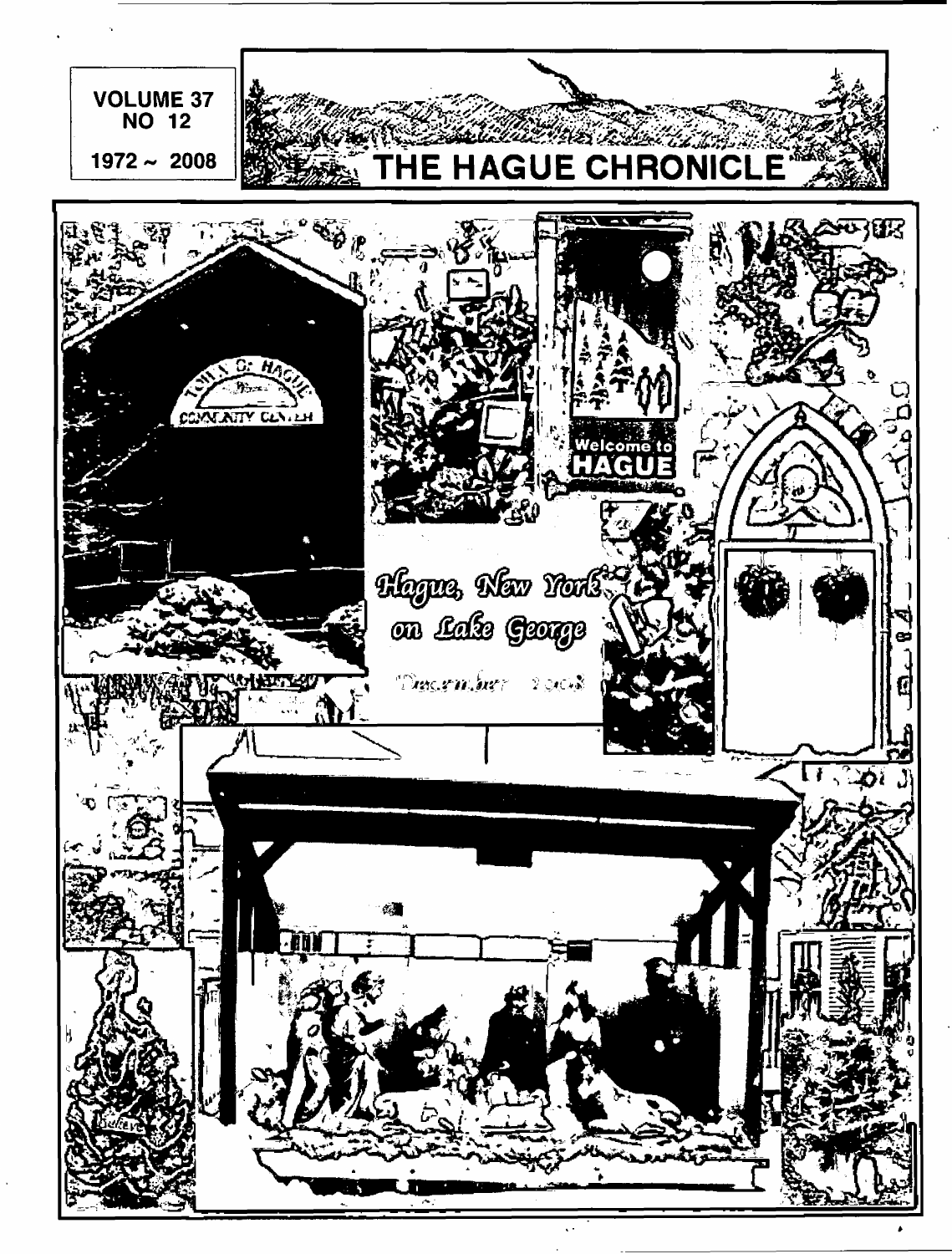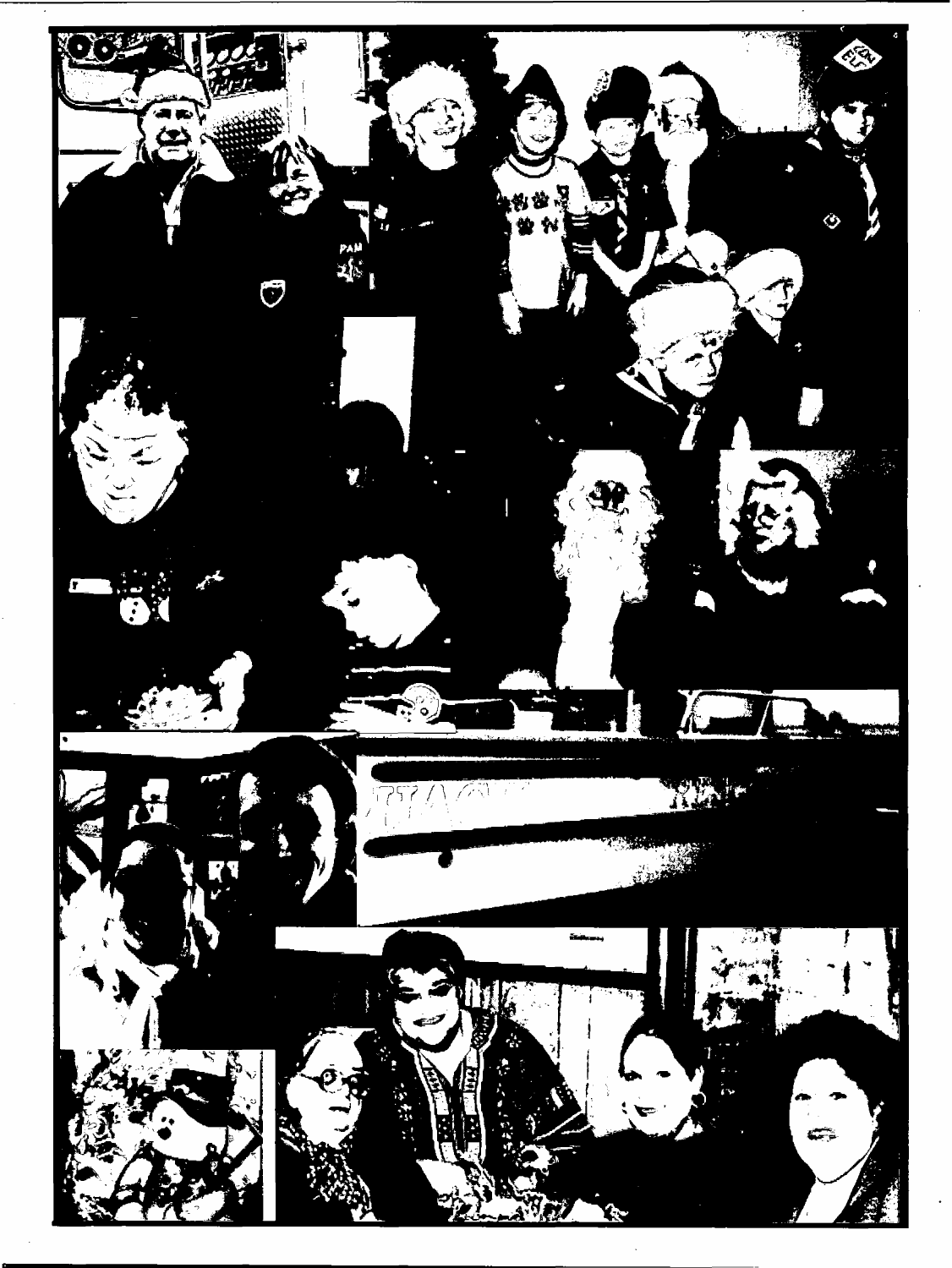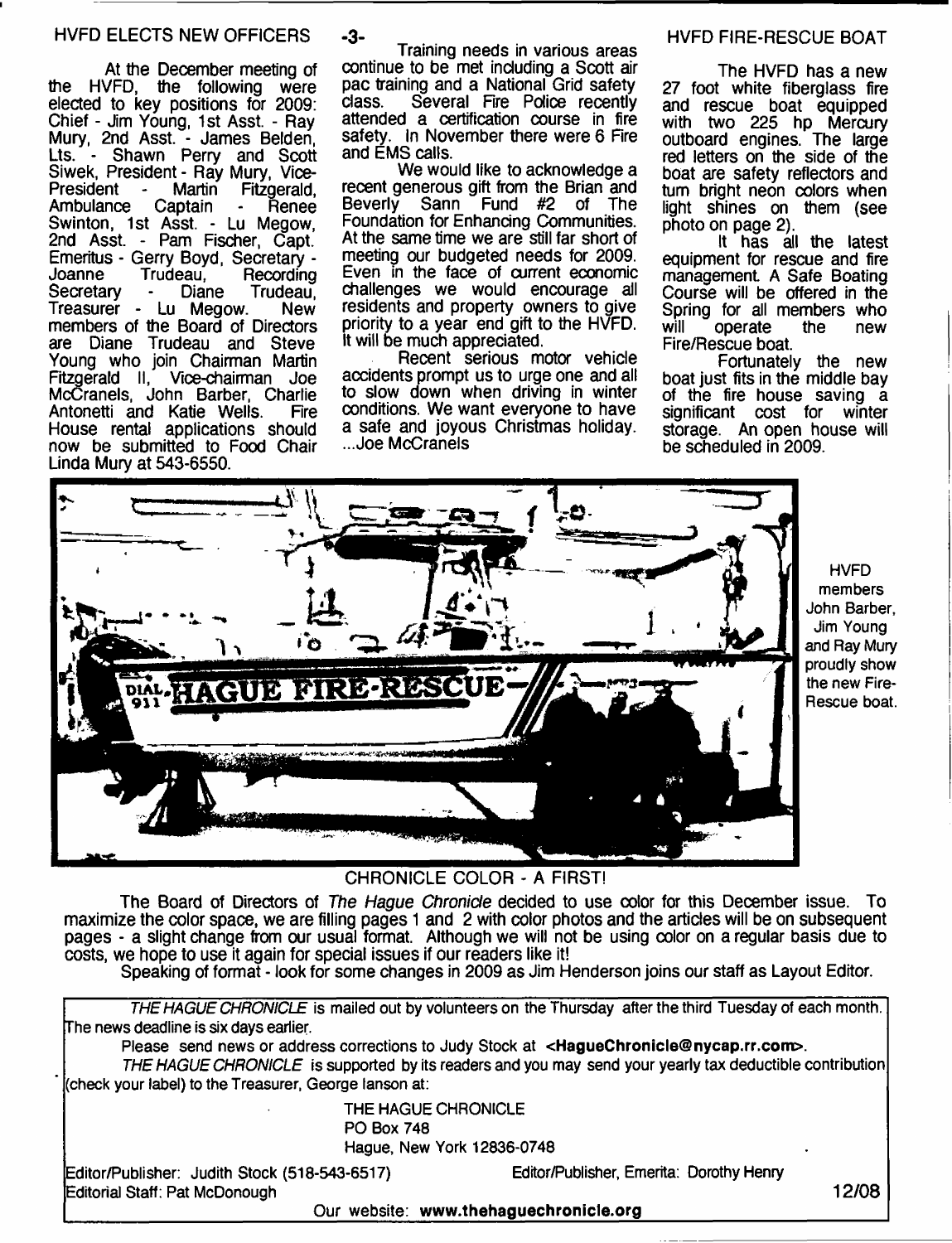#### HVFD ELECTS NEW OFFICERS

At the December meeting of the HVFD, the following were elected to key positions for 2009: Chief - Jim Young, 1st Asst. - Ray Mury, 2nd Asst. - James Belden, Lts. - Shawn Perry and Scott Siwek, President - Ray Mury, Vice-<br>President - Martin Fitzgerald. President - Martin Fitzgerald,<br>Ambulance Captain - Renee Ambulance Captain - Renee Swinton, 1st Asst. - Lu Megow, 2nd Asst. - Pam Fischer, Capt. Emeritus - Gerry Boyd, Secretary -<br>Joanne Trudeau. Recording Trudeau, Recording<br>- Diane Trudeau, Secretary - Diane Trudeau,<br>Treasurer - Lu Megow, New Treasurer - Lu Megow. members of the Board of Directors are Diane Trudeau and Steve Young who join Chairman Martin Fitzgerald II, Vice-chairman Joe McCranels, John Barber, Charlie Antonetti and Katie Wells. Fire House rental applications should now be submitted to Food Chair Linda Mury at 543-6550.

Training needs in various areas continue to be met including a Scott air pac training and a National Grid safety<br>class. Several Fire Police recently Several Fire Police recently attended a certification course in fire safety. In November there were 6 Fire and EMS calls.

**-3-**

We would like to acknowledge a recent generous gift from the Brian and<br>Beverly Sann Fund #2 of The  $\mathsf{Fund}$  #2 of The Foundation for Enhancing Communities. At the same time we are still far short of meeting our budgeted needs for 2009. Even in the face of current economic challenges we would encourage all residents and property owners to give priority to a year end gift to the HVFD. It will be much appreciated.

Recent serious motor vehicle accidents prompt us to urge one and all to slow down when driving in winter conditions. We want everyone to have a safe and joyous Christmas holiday. ...Joe McCranels

#### HVFD FIRE-RESCUE BOAT

The HVFD has a new 27 foot white fiberglass fire and rescue boat equipped with two 225 hp Mercury outboard engines. The large red letters on the side of the boat are safety reflectors and turn bright neon colors when light shines on them (see photo on page 2).

It has all the latest equipment for rescue and fire management A Safe Boating Course will be offered in the Spring for all members who<br>will operate the new operate Fire/Rescue boat.

Fortunately the new boat just fits in the middle bay of the fire house saving a significant cost for winter storage. An open house will be scheduled in 2009.



HVFD members John Barber, Jim Young and Ray Mury proudly show the new Fire-Rescue boat.

# CHRONICLE COLOR - A FIRST!

The Board of Directors of *The Hague Chronicle* decided to use color for this December issue. To maximize the color space, we are filling pages 1 and 2 with color photos and the articles will be on subsequent pages - a slight change from our usual format. Although we will not be using color on a regular basis due to costs, we hope to use it again for special issues if our readers like it!

Speaking of format - look for some changes in 2009 as Jim Henderson joins our staff as Layout Editor.

| THE HAGUE CHRONICLE is mailed out by volunteers on the Thursday after the third Tuesday of each month.                |
|-----------------------------------------------------------------------------------------------------------------------|
| The news deadline is six days earlier.                                                                                |
|                                                                                                                       |
| Please send news or address corrections to Judy Stock at <haguechronicle@nycap.rr.com>.</haguechronicle@nycap.rr.com> |
| THE HAGUE CHRONICLE is supported by its readers and you may send your yearly tax deductible contribution              |
| (check your label) to the Treasurer, George lanson at:                                                                |
| THE HAGUE CHRONICLE                                                                                                   |
| <b>PO Box 748</b>                                                                                                     |
| Hague, New York 12836-0748                                                                                            |
|                                                                                                                       |
| Editor/Publisher, Emerita: Dorothy Henry<br>Editor/Publisher: Judith Stock (518-543-6517)                             |
| 12/08<br>Editorial Staff: Pat McDonough                                                                               |
| Our website: www.thehaguechronicle.org                                                                                |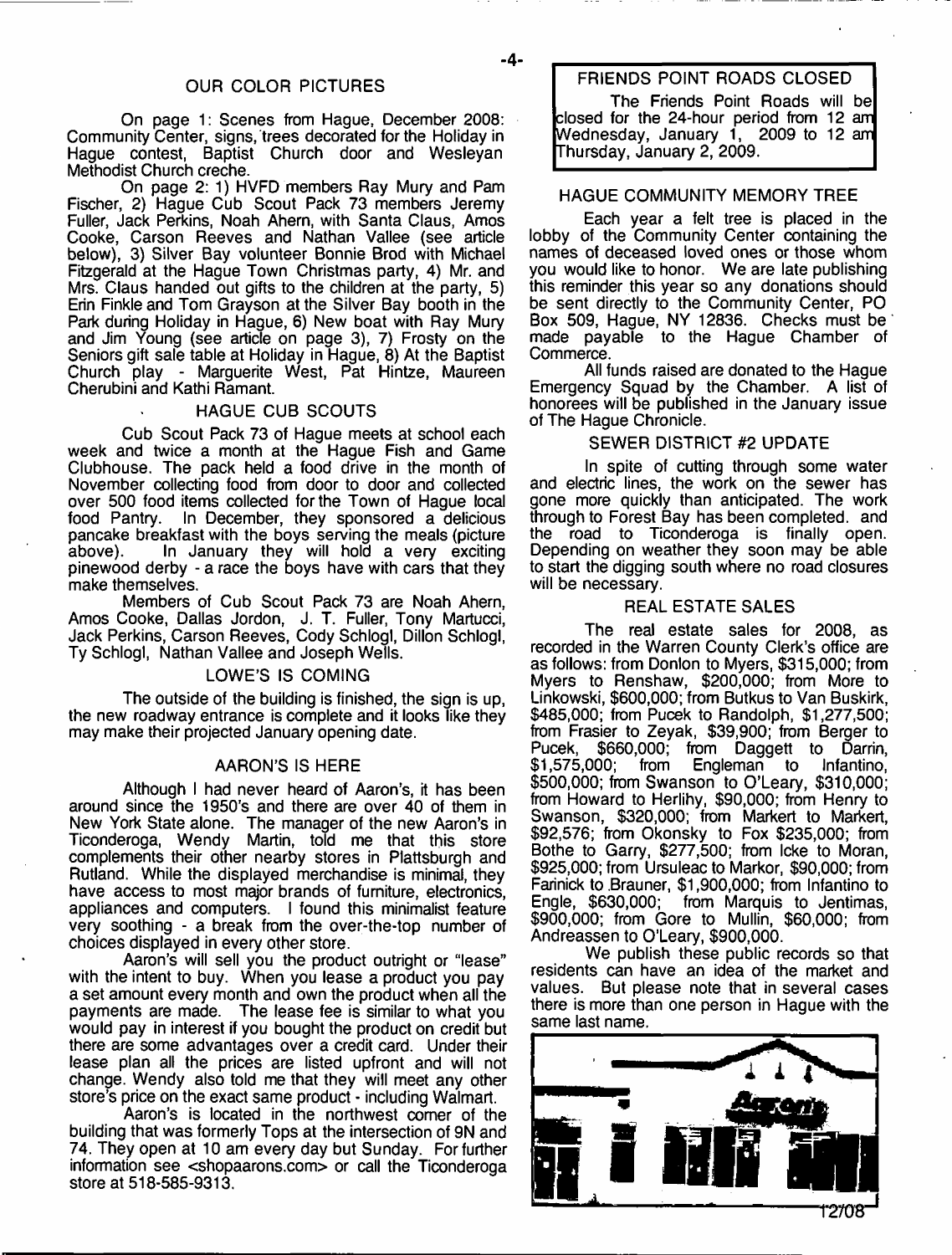#### OUR COLOR PICTURES

On page 1: Scenes from Hague, December 2008: Community Center, signs, trees decorated for the Holiday in Hague contest, Baptist Church door and Wesleyan Methodist Church creche.

On page 2: 1) HVFD members Ray Mury and Pam Fischer, 2) Hague Cub Scout Pack 73 members Jeremy Fuller, Jack Perkins, Noah Ahern, with Santa Claus, Amos Cooke, Carson Reeves and Nathan Vallee (see article below), 3) Silver Bay volunteer Bonnie Brod with Michael Fitzgerald at the Hague Town Christmas party, 4) Mr. and Mrs. Claus handed out gifts to the children at the party, 5) Erin Finkle and Tom Grayson at the Silver Bay booth in the Park during Holiday in Hague, 6) New boat with Ray Mury and Jim Young (see article on page 3), 7) Frosty on the Seniors gift sale table at Holiday in Hague, 8) At the Baptist Church play - Marguerite West, Pat Hintze, Maureen Cherubini and Kathi Ramant.

#### HAGUE CUB SCOUTS

Cub Scout Pack 73 of Hague meets at school each week and twice a month at the Hague Fish and Game Clubhouse. The pack held a food drive in the month of November collecting food from door to door and collected over 500 food items collected for the Town of Hague local food Pantry. In December, they sponsored a delicious pancake breakfast with the boys serving the meals (picture In January they will hold a very exciting pinewood derby - a race the boys have with cars that they make themselves.

Members of Cub Scout Pack 73 are Noah Ahern, Amos Cooke, Dallas Jordon, J. T. Fuller, Tony Martucci, Jack Perkins, Carson Reeves, Cody Schlogl, Dillon Schlogl, Ty Schlogl, Nathan Vallee and Joseph Wells.

#### LOWE'S IS COMING

The outside of the building is finished, the sign is up, the new roadway entrance is complete and it looks like they may make their projected January opening date.

#### AARON'S IS HERE

Although I had never heard of Aaron's, it has been around since the 1950's and there are over 40 of them in New York State alone. The manager of the new Aaron's in Ticonderoga, Wendy Martin, told me that this store complements their other nearby stores in Plattsburgh and Rutland. While the displayed merchandise is minimal, they have access to most major brands of furniture, electronics, appliances and computers. I found this minimalist feature very soothing - a break from the over-the-top number of choices displayed in every other store.

Aaron's will sell you the product outright or "lease" with the intent to buy. When you lease a product you pay a set amount every month and own the product when all the payments are made. The lease fee is similar to what you would pay in interest if you bought the product on credit but there are some advantages over a credit card. Under their lease plan all the prices are listed upfront and will not change. Wendy also told me that they will meet any other store's price on the exact same product - including Walmart.

Aaron's is located in the northwest comer of the building that was formerly Tops at the intersection of 9N and 74. They open at 10 am every day but Sunday. For further information see <shopaarons.com> or call the Ticonderoga store at 518-585-9313.

FRIENDS POINT ROADS CLOSED

The Friends Point Roads will be closed for the 24-hour period from 12 am Wednesday, January 1, 2009 to 12 am Thursday, January 2, 2009.

#### HAGUE COMMUNITY MEMORY TREE

Each year a felt tree is placed in the lobby of the Community Center containing the names of deceased loved ones or those whom you would like to honor. We are late publishing this reminder this year so any donations should be sent directly to the Community Center, PO Box 509, Hague, NY 12836. Checks must be made payable to the Hague Chamber of Commerce.

All funds raised are donated to the Hague Emergency Squad by the Chamber. A list of honorees will be published in the January issue of The Hague Chronicle.

#### SEWER DISTRICT #2 UPDATE

In spite of cutting through some water and electric lines, the work on the sewer has gone more quickly than anticipated. The work through to Forest Bay has been completed, and the road to Ticonderoga is finally open. Depending on weather they soon may be able to start the digging south where no road closures will be necessary.

#### REAL ESTATE SALES

The real estate sales for 2008, as recorded in the Warren County Clerk's office are as follows: from Donlon to Myers, \$315,000; from Myers to Renshaw, \$200,000; from More to Linkowski, \$600,000; from Butkus to Van Buskirk, \$485,000; from Pucek to Randolph, \$1,277,500; from Frasier to Zeyak, \$39,900; from Berger to Pucek, \$660,000; from Daggett to Darrin,<br>\$1,575,000; from Engleman to Infantino, Engleman to \$500,000; from Swanson to O'Leary, \$310,000; from Howard to Herlihy, \$90,000; from Henry to Swanson, \$320,000; from Markert to Markert, \$92,576; from Okonsky to Fox \$235,000; from Bothe to Garry, \$277,500; from Icke to Moran, \$925,000; from Ursuleac to Markor, \$90,000; from Farinick to .Brauner, \$1,900,000; from Infantino to Engle, \$630,000; from Marquis to Jentimas, \$900,000; from Gore to Mullin, \$60,000; from Andreassen to O'Leary, \$900,000.

We publish these public records so that residents can have an idea of the market and values. But please note that in several cases there is more than one person in Hague with the same last name.



- **4**-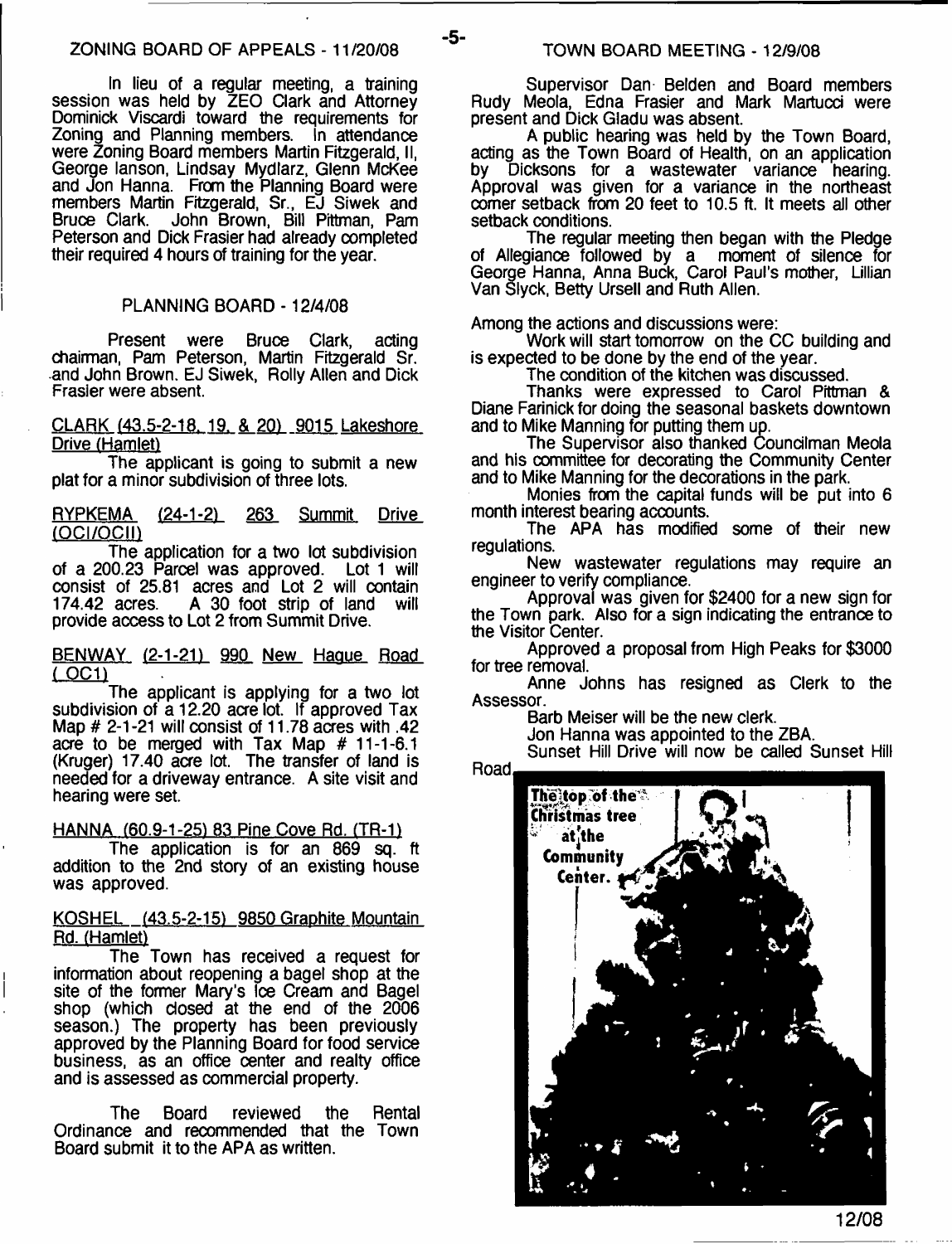-5-

In lieu of a regular meeting, a training session was held by **ZEO** Clark and Attorney Dominick Viscardi toward the requirements for Zoning and Planning members. In attendance were Zoning Board members Martin Fitzgerald, II, George lanson, Lindsay Mydlarz, Glenn McKee and Jon Hanna. From the Planning Board were members Martin Fitzgerald, Sr., EJ Siwek and John Brown, Bill Pittman, Pam Peterson and Dick Frasier had already completed their required 4 hours of training for the year.

### PLANNING BOARD -12/4/08

Present were Bruce Clark, acting chairman, Pam Peterson, Martin Fitzgerald Sr. and John Brown. EJ Siwek, Roily Allen and Dick Frasier were absent.

CLARK (43.5-2-18, 19, & 20) 9015 Lakeshore Drive (Hamlet)

The applicant is going to submit a new plat for a minor subdivision of three lots.

#### RYPKEMA (24-1-2) 263 Summit Drive (OCI/OCII1

The application for a two lot subdivision of a 200.23 Parcel was approved. Lot 1 will consist of 25.81 acres and Lot 2 will contain A 30 foot strip of land provide access to Lot 2 from Summit Drive.

### BENWAY (2-1-21) 990 New Haque Road  $LOC1$

The applicant is applying for a two lot subdivision of a 12.20 acre lot. If approved Tax Map # 2-1-21 will consist of 11.78 acres with .42 acre to be merged with Tax Map # 11-1-6.1 (Kruger) 17.40 acre lot. The transfer of land is needed for a driveway entrance. A site visit and hearing were set.

#### HANNA (60.9-1-25) 83 Pine Cove Rd. (TR-1)

The application is for an 869 sq. ft addition to the 2nd story of an existing house was approved.

#### KOSHEL (43.5-2-15) 9850 Graphite Mountain Rd. (Hamlet)

The Town has received a request for information about reopening a bagel shop at the site of the former Mary's Ice Cream and Bagel shop (which closed at the end of the 2006 season.) The property has been previously approved by the Planning Board for food service business, as an office center and realty office and is assessed as commercial property.

The Board reviewed the Rental Ordinance and recommended that the Town Board submit it to the APA as written.

Supervisor Dan Belden and Board members Rudy Meola, Edna Frasier and Mark Martucd were present and Dick Gladu was absent.

A public hearing was held by the Town Board, acting as the Town Board of Health, on an application by Dicksons for a wastewater variance hearing. Approval was given for a variance in the northeast comer setback from 20 feet to 10.5 ft. It meets all other setback conditions.

The regular meeting then began with the Pledge of Allegiance followed by a moment of silence for George Hanna, Anna Buck, Carol Paul's mother, Lillian Van Slyck, Betty Ursell and Ruth Allen.

Among the actions and discussions were:

Work will start tomorrow on the CC building and is expected to be done by the end of the year.

The condition of the kitchen was discussed.

Thanks were expressed to Carol Pittman & Diane Farinick for doing the seasonal baskets downtown and to Mike Manning for putting them up.

The Supervisor also thanked Councilman Meola and his committee for decorating the Community Center and to Mike Manning for the decorations in the park.

Monies from the capital funds will be put into 6 month interest bearing accounts.

The APA has modified some of their new regulations.

New wastewater regulations may require an engineer to verify compliance.

Approval was given for \$2400 for a new sign for the Town park. Also for a sign indicating the entrance to the Visitor Center.

Approved a proposal from High Peaks for \$3000 for tree removal.

Anne Johns has resigned as Clerk to the Assessor.

Barb Meiser will be the new clerk.

Jon Hanna was appointed to the ZBA.

Sunset Hill Drive will now be called Sunset Hill

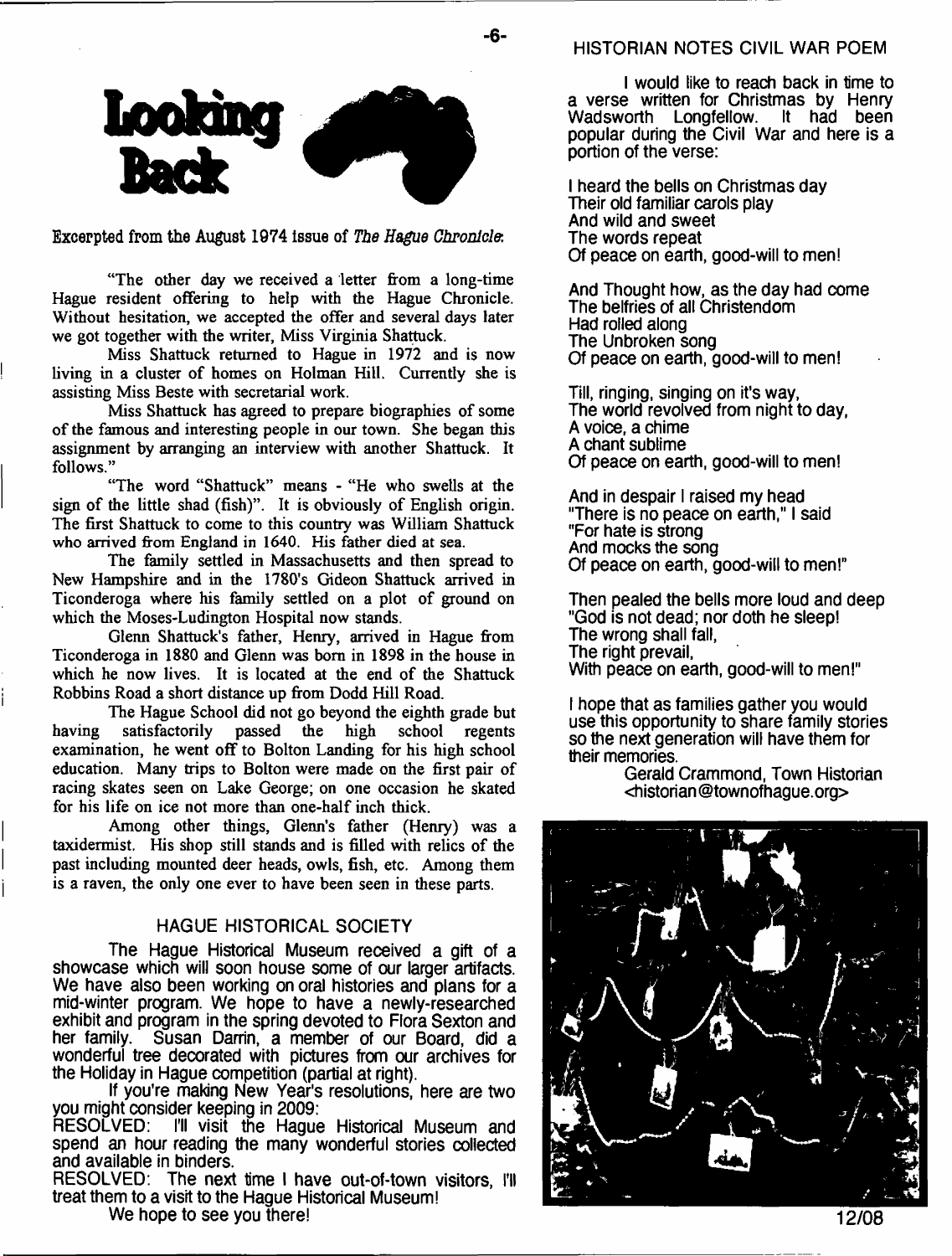

- **6**-

**Excerpted from the August 1974 issue of** *The Hague Chronicle.*

"The other day we received a letter from a long-time Hague resident offering to help with the Hague Chronicle. Without hesitation, we accepted the offer and several days later we got together with the writer, Miss Virginia Shattuck.

Miss Shattuck returned to Hague in 1972 and is now living in a cluster of homes on Holman Hill. Currently she is assisting Miss Beste with secretarial work.

Miss Shattuck has agreed to prepare biographies of some of the famous and interesting people in our town. She began this assignment by arranging an interview with another Shattuck. It follows."

"The word "Shattuck" means - "He who swells at the sign of the little shad (fish)". It is obviously of English origin. The first Shattuck to come to this country was William Shattuck who arrived from England in 1640. His father died at sea.

The family settled in Massachusetts and then spread to New Hampshire and in the 1780's Gideon Shattuck arrived in Ticonderoga where his family settled on a plot of ground on which the Moses-Ludington Hospital now stands.

Glenn Shattuck's father, Henry, arrived in Hague from Ticonderoga in 1880 and Glenn was born in 1898 in the house in which he now lives. It is located at the end of the Shattuck Robbins Road a short distance up from Dodd Hill Road.

The Hague School did not go beyond the eighth grade but having satisfactorily passed the high school regents examination, he went off to Bolton Landing for his high school education. Many trips to Bolton were made on the first pair of racing skates seen on Lake George; on one occasion he skated for his life on ice not more than one-half inch thick.

Among other things, Glenn's father (Henry) was a taxidermist. His shop still stands and is filled with relics of the past including mounted deer heads, owls, fish, etc. Among them is a raven, the only one ever to have been seen in these parts.

# HAGUE HISTORICAL SOCIETY

The Hague Historical Museum received a gift of a showcase which will soon house some of our larger artifacts. We have also been working on oral histories and plans for a mid-winter program. We hope to have a newly-researched exhibit and program in the spring devoted to Flora Sexton and her family. Susan Darrin, a member of our Board, did a wonderful tree decorated with pictures from our archives for the Holiday in Hague competition (partial at right).

If you're making New Year's resolutions, here are two you might consider keeping in 2009:<br>RESOLVED: | |'Il visit the Haque

I'll visit the Hague Historical Museum and spend an hour reading the many wonderful stories collected and available in binders.

RESOLVED: The next time I have out-of-town visitors, I'll treat them to a visit to the Hague Historical Museum! We hope to see you there!

I would like to reach back in time to a verse written for Christmas by Henry Wadsworth Longfellow. It had been popular during the Civil War and here is a portion of the verse:

I heard the bells on Christmas day Their old familiar carols play And wild and sweet The words repeat Of peace on earth, good-will to men!

And Thought how, as the day had come The belfries of all Christendom Had rolled along The Unbroken song Of peace on earth, good-will to men!

Till, ringing, singing on it's way, The world revolved from night to day, A voice, a chime A chant sublime Of peace on earth, good-will to men!

And in despair I raised my head "There is no peace on earth," I said "For hate is strong And mocks the song Of peace on earth, good-will to men!"

Then pealed the bells more loud and deep "God is not dead; nor doth he sleep! The wrong shall fall, The right prevail, With peace on earth, good-will to men!"

I hope that as families gather you would use this opportunity to share family stories so the next generation will have them for their memories.

> Gerald Crammond, Town Historian <[historian@townofhague.org>](mailto:historian@townofhague.org)

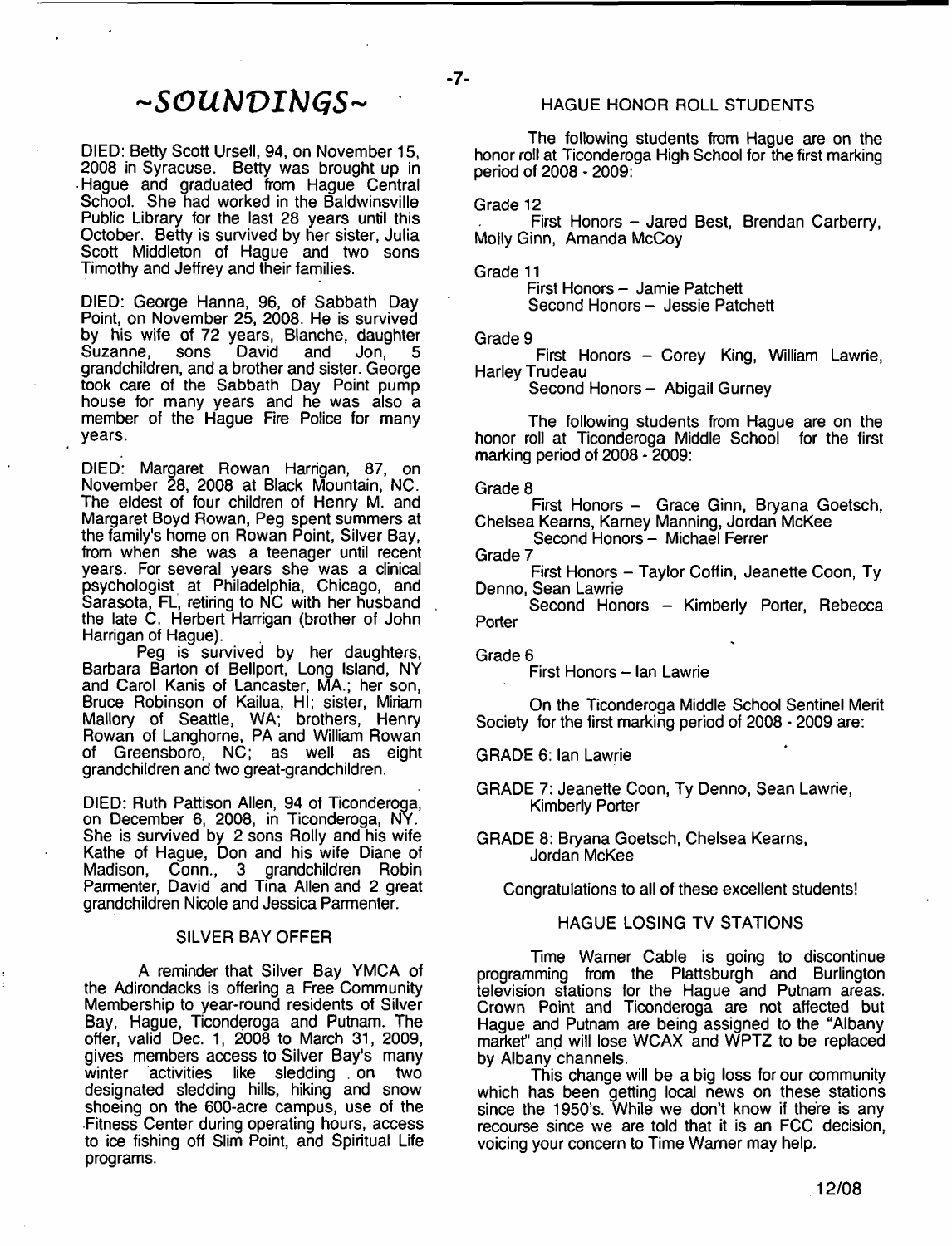# $\sim$  SOUNDINGS~

DIED: Betty Scott Ursell, 94, on November 15, 2008 in Syracuse. Betty was brought up in Hague and graduated from Hague Central School. She had worked in the Baldwinsville Public Library for the last 28 years until this October. Betty is survived by her sister, Julia Scott Middleton of Hague and two sons Timothy and Jeffrey and their families.

DIED: George Hanna, 96, of Sabbath Day Point, on November 25, 2008. He is survived by his wife of 72 years, Blanche, daughter<br>Suzanne, sons David and Jon, 5 Suzanne, grandchildren, and a brother and sister. George took care of the Sabbath Day Point pump house for many years and he was also a member of the Hague Fire Police for many years.

DIED: Margaret Rowan Harrigan, 87, on November 28, 2008 at Black Mountain, NC. The eldest of four children of Henry M. and Margaret Boyd Rowan, Peg spent summers at the family's home on Rowan Point, Silver Bay, from when she was a teenager until recent years. For several years she was a clinical psychologist at Philadelphia, Chicago, and Sarasota, FL, retiring to NC with her husband the late C. Herbert Harrigan (brother of John Harrigan of Hague).

Peg is survived by her daughters, Barbara Barton of Bellport, Long Island, NY and Carol Kanis of Lancaster, MA.; her son, Bruce Robinson of Kailua, HI; sister, Miriam Mallory of Seattle, WA; brothers, Henry Rowan of Langhorne, PA and William Rowan of Greensboro, NC; as well as eight grandchildren and two great-grandchildren.

DIED: Ruth Pattison Allen, 94 of Ticonderoga, on December 6, 2008, in Ticonderoga, NY. She is survived by 2 sons Roily and his wife Kathe of Hague, Don and his wife Diane of Conn., 3 grandchildren Robin Parmenter, David and Tina Allen and 2 great grandchildren Nicole and Jessica Parmenter.

#### SILVER BAY OFFER

A reminder that Silver Bay YMCA of the Adirondacks is offering a Free Community Membership to year-round residents of Silver Bay, Hague, Ticonderoga and Putnam. The offer, valid Dec. 1, 2008 to March 31, 2009, gives members access to Silver Bay's many winter activities like sledding . on two designated sledding hills, hiking and snow shoeing on the 600-acre campus, use of the Fitness Center during operating hours, access to ice fishing off Slim Point, and Spiritual Life programs.

The following students from Hague are on the honor roll at Ticonderoga High School for the first marking period of 2008 - 2009:

Grade 12

- **7**-

First Honors - Jared Best, Brendan Carberry, Molly Ginn, Amanda McCoy

Grade 11

First Honors - Jamie Patchett Second Honors - Jessie Patchett

Grade 9

First Honors - Corey King, William Lawrie, Harley Trudeau

Second Honors - Abigail Gurney

The following students from Hague are on the honor roll at Ticonderoga Middle School for the first marking period of 2008 - 2009:

Grade 8

First Honors - Grace Ginn, Bryana Goetsch, Chelsea Kearns, Karney Manning, Jordan McKee Second Honors - Michael Ferrer

Grade 7

First Honors - Taylor Coffin, Jeanette Coon, Ty Denno, Sean Lawrie

Second Honors - Kimberly Porter, Rebecca **Porter** 

Grade 6

First Honors - Ian Lawrie

On the Ticonderoga Middle School Sentinel Merit Society for the first marking period of 2008 - 2009 are:

GRADE 6: Ian Lawrie

GRADE 7: Jeanette Coon, Ty Denno, Sean Lawrie, Kimberly Porter

GRADE 8: Bryana Goetsch, Chelsea Kearns, Jordan McKee

Congratulations to all of these excellent students!

#### HAGUE LOSING TV STATIONS

Time Warner Cable is going to discontinue programming from the Plattsburgh and Burlington television stations for the Hague and Putnam areas. Crown Point and Ticonderoga are not affected but Hague and Putnam are being assigned to the "Albany market" and will lose WCAX and WPTZ to be replaced by Albany channels.

This change will be a big loss for our community which has been getting local news on these stations since the 1950's. While we don't know if there is any recourse since we are told that it is an FCC decision, voicing your concern to Time Warner may help.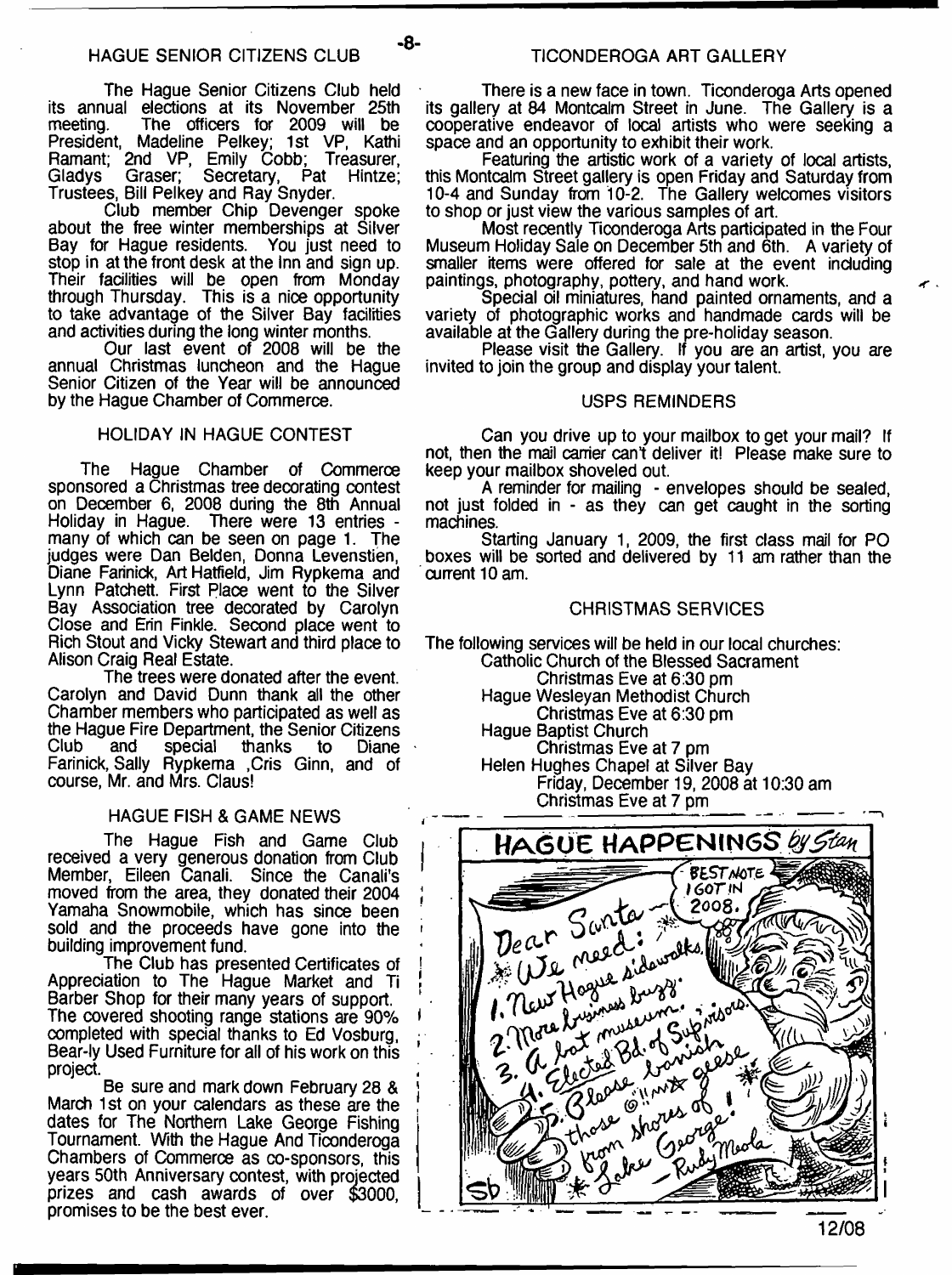The Hague Senior Citizens Club held its annual elections at its November 25th The officers for 2009 will be President, Madeline Pelkey; 1st VP, Kathi Ramant; 2nd VP, Emily Cobb; Treasurer, Gladys Graser; Secretary, Pat Hintze; Trustees, Bill Pelkey and Ray Snyder

Club member Chip Devenger spoke about the free winter memberships at Silver Bay for Hague residents. You just need to stop in at the front desk at the Inn and sign up. Their facilities will be open from Monday through Thursday. This is a nice opportunity to take advantage of the Silver Bay facilities and activities during the long winter months.

Our last event of 2008 will be the annual Christmas luncheon and the Hague Senior Citizen of the Year will be announced by the Hague Chamber of Commerce.

#### HOLIDAY IN HAGUE CONTEST

The Hague Chamber of Commerce sponsored a Christmas tree decorating contest on December 6, 2008 during the 8th Annual Holiday in Hague. There were 13 entries many of which can be seen on page 1. The judges were Dan Belden, Donna Levenstien, Diane Farinick, Art Hatfield, Jim Rypkema and Lynn Patchett. First Place went to the Silver Bay Association tree decorated by Carolyn Close and Erin Finkle. Second place went to Rich Stout and Vicky Stewart and third place to Alison Craig Real Estate.

The trees were donated after the event. Carolyn and David Dunn thank all the other Chamber members who participated as well as the Hague Fire Department, the Senior Citizens<br>Club and special thanks to Diane Club and special thanks to Diane Farinick, Sally Rypkema ,Cris Ginn, and of course, Mr. and Mrs. Claus!

#### HAGUE FISH & GAME NEWS

The Hague Fish and Game Club received a very generous donation from Club Member, Eileen Canali. Since the Canali's moved from the area, they donated their 2004 Yamaha Snowmobile, which has since been sold and the proceeds have gone into the building improvement fund.

The Club has presented Certificates of Appreciation to The Hague Market and Ti Barber Shop for their many years of support. The covered shooting range stations are 90% completed with special thanks to Ed Vosburg, Bear-ly Used Furniture for all of his work on this project.

Be sure and markdown February 28 & March 1st on your calendars as these are the dates for The Northern Lake George Fishing Tournament. With the Hague And Ticonderoga Chambers of Commerce as co-sponsors, this years 50th Anniversary contest, with projected prizes and cash awards of over \$3000, promises to be the best ever.

There is a new face in town. Ticonderoga Arts opened its gallery at 84 Montcalm Street in June. The Gallery is a cooperative endeavor of local artists who were seeking a space and an opportunity to exhibit their work.

Featuring the artistic work of a variety of local artists, this Montcalm Street gallery is open Friday and Saturday from 10-4 and Sunday from 10-2. The Gallery welcomes visitors to shop or just view the various samples of art.

Most recently Ticonderoga Arts participated in the Four Museum Holiday Sale on December 5th and 6th. A variety of smaller items were offered for sale at the event including paintings, photography, pottery, and hand work.

Special oil miniatures, hand painted ornaments, and a variety of photographic works and handmade cards will be available at the Gallery during the pre-holiday season.

Please visit the Gallery. If you are an artist, you are invited to join the group and display your talent.

#### USPS REMINDERS

Can you drive up to your mailbox to get your mail? If not, then the mail carrier can't deliver it! Please make sure to keep your mailbox shoveled out.

A reminder for mailing - envelopes should be sealed, not just folded in - as they can get caught in the sorting machines.

Starting January 1, 2009, the first class mail for PO boxes will be sorted and delivered by 11 am rather than the current 10 am.

#### CHRISTMAS SERVICES

The following services will be held in our local churches; Catholic Church of the Blessed Sacrament Christmas Eve at 6:30 pm Hague Wesleyan Methodist Church Christmas Eve at 6:30 pm Hague Baptist Church Christmas Eve at 7 pm Helen Hughes Chapel at Silver Bay Friday, December 19, 2008 at 10:30 am

Christmas Eve at 7 pm



**12/08**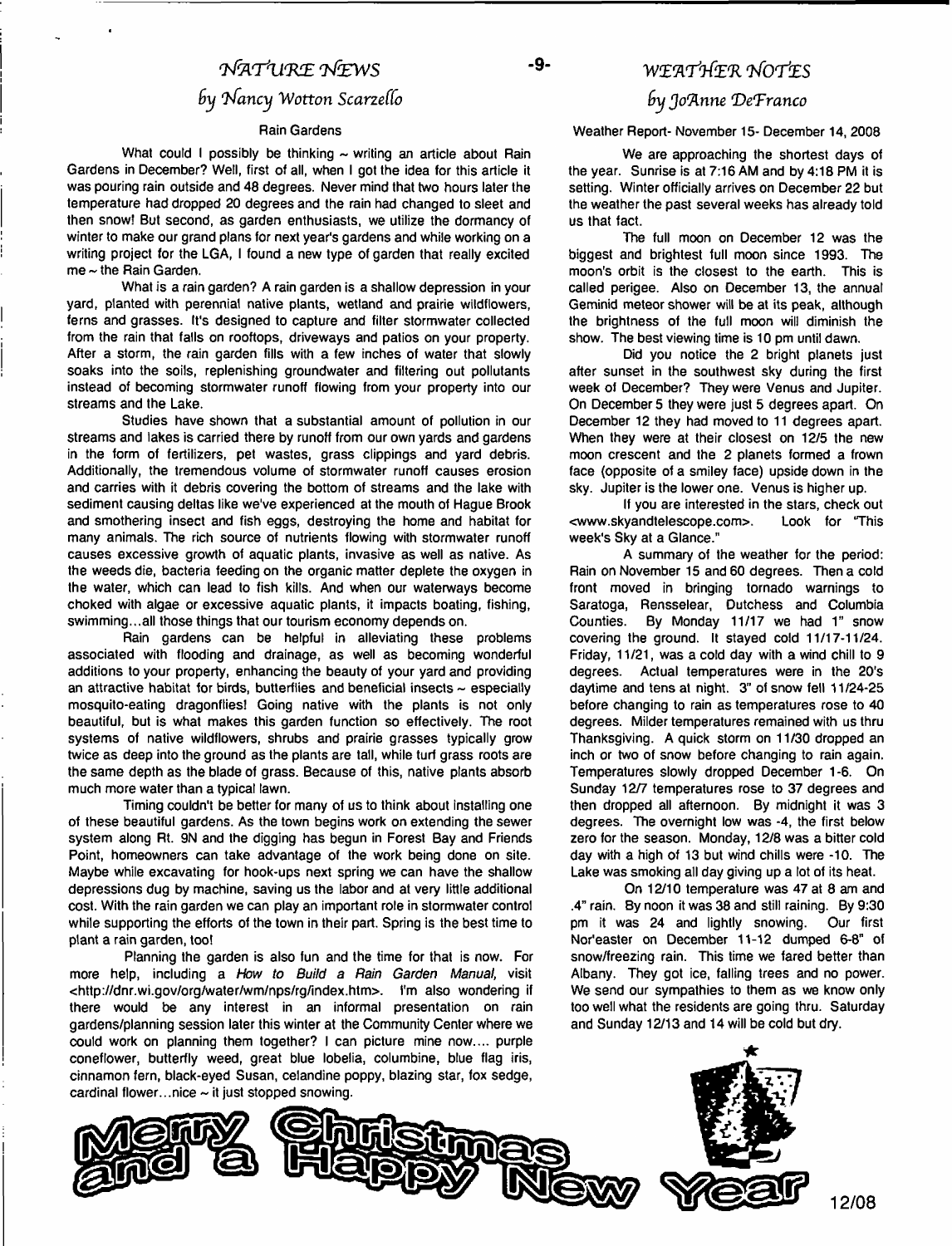# **'Ts/'AT'tERlE 'TsfeWS** *£>y 'Uancy Wotton Scarzeffo*

#### Rain Gardens

What could I possibly be thinking  $\sim$  writing an article about Rain Gardens in December? Well, first of all, when I got the idea for this article it was pouring rain outside and 48 degrees. Never mind that two hours later the temperature had dropped 20 degrees and the rain had changed to sleet and then snow! But second, as garden enthusiasts, we utilize the dormancy of winter to make our grand plans for next year's gardens and while working on a writing project for the LGA, I found a new type of garden that really excited  $me$  ~ the Rain Garden.

What is a rain garden? A rain garden is a shallow depression in your yard, planted with perennial native plants, wetland and prairie wildflowers, ferns and grasses. It's designed to capture and filter stormwater collected from the rain that falls on rooftops, driveways and patios on your property. After a storm, the rain garden fills with a few inches of water that slowly soaks into the soils, replenishing groundwater and filtering out pollutants instead of becoming stormwater runoff flowing from your property into our streams and the Lake.

Studies have shown that a substantial amount of pollution in our streams and lakes is carried there by runoff from our own yards and gardens in the form of fertilizers, pet wastes, grass clippings and yard debris. Additionally, the tremendous volume of stormwater runoff causes erosion and carries with it debris covering the bottom of streams and the lake with sediment causing deltas like we've experienced at the mouth of Hague Brook and smothering insect and fish eggs, destroying the home and habitat for many animals. The rich source of nutrients flowing with stormwater runoff causes excessive growth of aquatic plants, invasive as well as native. As the weeds die, bacteria feeding on the organic matter deplete the oxygen in the water, which can lead to fish kills. And when our waterways become choked with algae or excessive aquatic plants, it impacts boating, fishing, swimming...all those things that our tourism economy depends on.

Rain gardens can be helpful in alleviating these problems associated with flooding and drainage, as well as becoming wonderful additions to your property, enhancing the beauty of your yard and providing an attractive habitat for birds, butterflies and beneficial insects  $\sim$  especially mosquito-eating dragonflies! Going native with the plants is not only beautiful, but is what makes this garden function so effectively. The root systems of native wildflowers, shrubs and prairie grasses typically grow twice as deep into the ground as the plants are tall, while turf grass roots are the same depth as the blade of grass. Because of this, native plants absorb much more water than a typical lawn.

Timing couldn't be better for many of us to think about installing one of these beautiful gardens. As the town begins work on extending the sewer system along Rt. 9N and the digging has begun in Forest Bay and Friends Point, homeowners can take advantage of the work being done on site. Maybe while excavating for hook-ups next spring we can have the shallow depressions dug by machine, saving us the labor and at very little additional cost. With the rain garden we can play an important role in stormwater control while supporting the efforts of the town in their part. Spring is the best time to plant a rain garden, too!

Planning the garden is also fun and the time for that is now. For more help, including a *How to Build a Rain Garden Manual,* visit <[http://dnr.wi.gov/org/water/wm/nps/rg/index.htm>](http://dnr.wi.gov/org/water/wm/nps/rg/index.htm). I'm also wondering if there would be any interest in an informal presentation on rain gardens/planning session later this winter at the Community Center where we could work on planning them together? I can picture mine now.... purple coneflower, butterfly weed, great blue lobelia, columbine, blue flag iris,

# WEATHER NOTES 6a/ *Joftnne 'DeTranco*

- **9**-

Weather Report- November 15- December 14, 2008

We are approaching the shortest days of the year. Sunrise is at 7:16 AM and by 4:18 PM it is setting. Winter officially arrives on December 22 but the weather the past several weeks has already told us that fact.

The full moon on December 12 was the biggest and brightest full moon since 1993. The moon's orbit is the closest to the earth. This is called perigee. Also on December 13, the annual Geminid meteor shower will be at its peak, although the brightness of the full moon will diminish the show. The best viewing time is 10 pm until dawn.

Did you notice the 2 bright planets just after sunset in the southwest sky during the first week of December? They were Venus and Jupiter. On December 5 they were just 5 degrees apart. On December 12 they had moved to 11 degrees apart. When they were at their closest on 12/5 the new moon crescent and the 2 planets formed a frown face {opposite of a smiley face) upside down in the sky. Jupiter is the lower one. Venus is higher up.

If you are interested in the stars, check out<br>(yandtelescope.com>. Look for "This [<www.skyandtelescope.com](http://www.skyandtelescope.com)>. week's Sky at a Glance."

A summary of the weather for the period: Rain on November 15 and 60 degrees. Then a cold front moved in bringing tornado warnings to Saratoga, Rensselear, Dutchess and Columbia Counties. By Monday 11/17 we had 1" snow covering the ground. It stayed cold 11/17-11/24. Friday, 11/21, was a cold day with a wind chill to 9 degrees. Actual temperatures were in the 20's daytime and tens at night. 3" of snow fell 11/24-25 before changing to rain as temperatures rose to 40 degrees. Milder temperatures remained with us thru Thanksgiving. A quick storm on 11/30 dropped an inch or two of snow before changing to rain again. Temperatures slowly dropped December 1-6. On Sunday 12/7 temperatures rose to 37 degrees and then dropped all afternoon. By midnight it was 3 degrees. The overnight low was -4, the first below zero for the season. Monday, 12/8 was a bitter cold day with a high of 13 but wind chills were -10. The Lake was smoking all day giving up a lot of its heat.

On 12/10 temperature was 47 at 8 am and .4" rain. By noon it was 38 and still raining. By 9:30 pm it was 24 and lightly snowing. Our first Nor'easter on December 11-12 dumped 6-8" of snow/freezing rain. This time we fared better than Albany. They got ice, falling trees and no power. We send our sympathies to them as we know only too well what the residents are going thru. Saturday and Sunday 12/13 and 14 will be cold but dry.